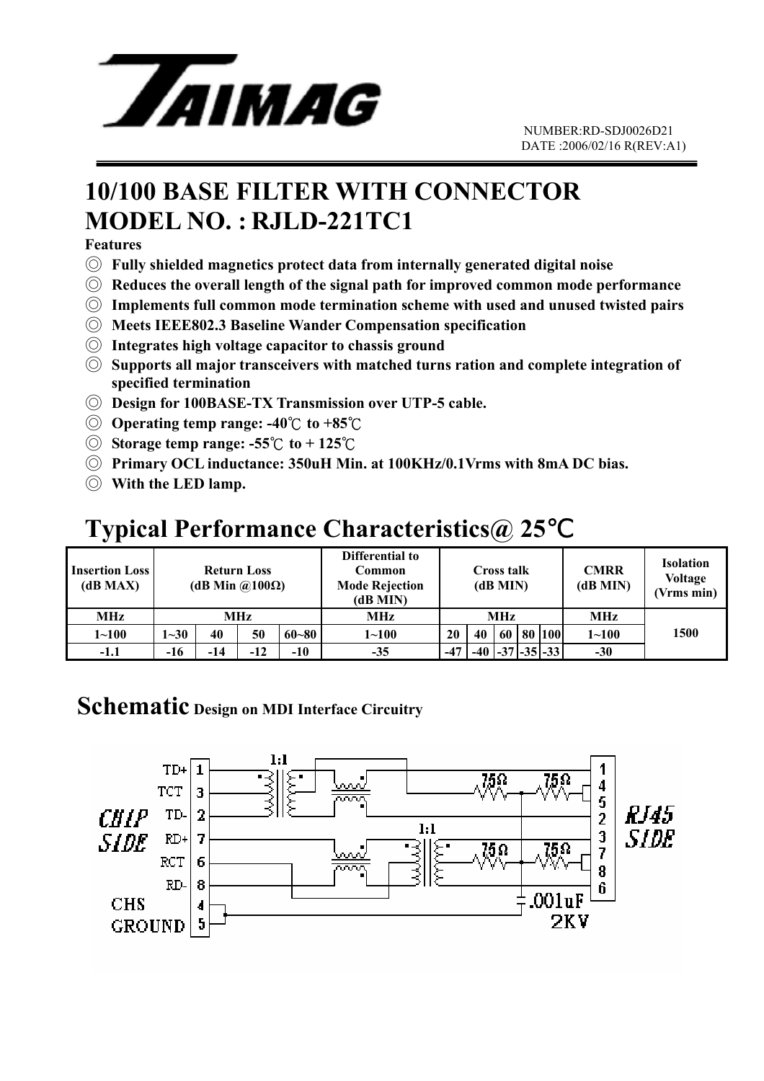

## **10/100 BASE FILTER WITH CONNECTOR MODEL NO. : RJLD-221TC1**

**Features**

- ◎ **Fully shielded magnetics protect data from internally generated digital noise**
- ◎ **Reduces the overall length of the signal path for improved common mode performance**
- ◎ **Implements full common mode termination scheme with used and unused twisted pairs**
- ◎ **Meets IEEE802.3 Baseline Wander Compensation specification**
- ◎ **Integrates high voltage capacitor to chassis ground**
- ◎ **Supports all major transceivers with matched turns ration and complete integration of specified termination**
- ◎ **Design for 100BASE-TX Transmission over UTP-5 cable.**
- ◎ **Operating temp range: -40** ℃ **to +85**℃
- ◎ **Storage temp range: -55**℃ **to + 125** ℃
- ◎ **Primary OCL inductance: 350uH Min. at 100KHz/0.1Vrms with 8mA DC bias.**
- ◎ **With the LED lamp.**

## **Typical Performance Characteristics@ 25**℃

| <b>Insertion Loss</b><br>(dB MAX) | <b>Return Loss</b><br>(dB Min $\omega(100\Omega)$ |       |       |           | Differential to<br>Common<br><b>Mode Rejection</b><br>(dB MIN) | <b>Cross talk</b><br>(dB MIN) |    |    |  | <b>CMRR</b><br>(dB MIN)     | <b>Isolation</b><br><b>Voltage</b><br>(Vrms min) |      |
|-----------------------------------|---------------------------------------------------|-------|-------|-----------|----------------------------------------------------------------|-------------------------------|----|----|--|-----------------------------|--------------------------------------------------|------|
| MHz                               | MHz                                               |       |       |           | MHz                                                            | <b>MHz</b>                    |    |    |  |                             | MHz                                              |      |
| $1 - 100$                         | $1 - 30$                                          | 40    | 50    | $60 - 80$ | $1 - 100$                                                      | 20                            | 40 | 60 |  | 80   100                    | $1 - 100$                                        | 1500 |
| $-1.1$                            | $-16$                                             | $-14$ | $-12$ | $-10$     | $-35$                                                          | $-47$                         |    |    |  | $-40$ $ -37$ $ -35 $ $-33 $ | $-30$                                            |      |

#### **Schematic Design on MDI Interface Circuitry**

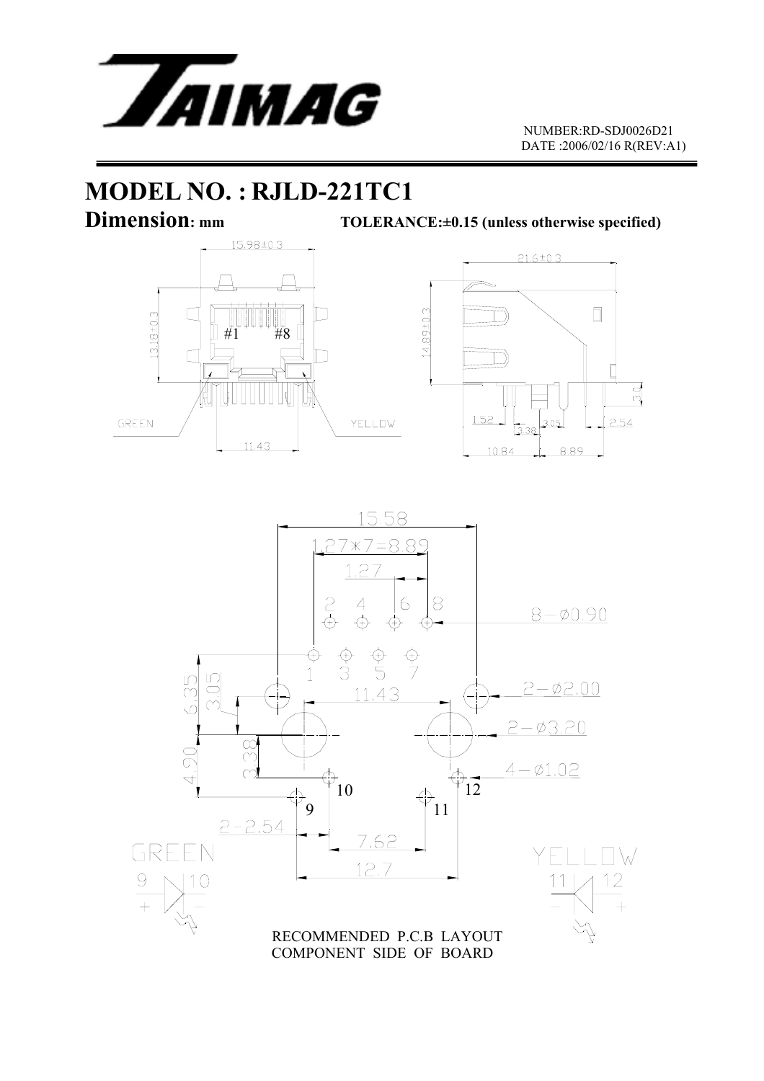

## **MODEL NO. : RJLD-221TC1**

**Dimension:** mm TOLERANCE:±0.15 (unless otherwise specified)





COMPONENT SIDE OF BOARD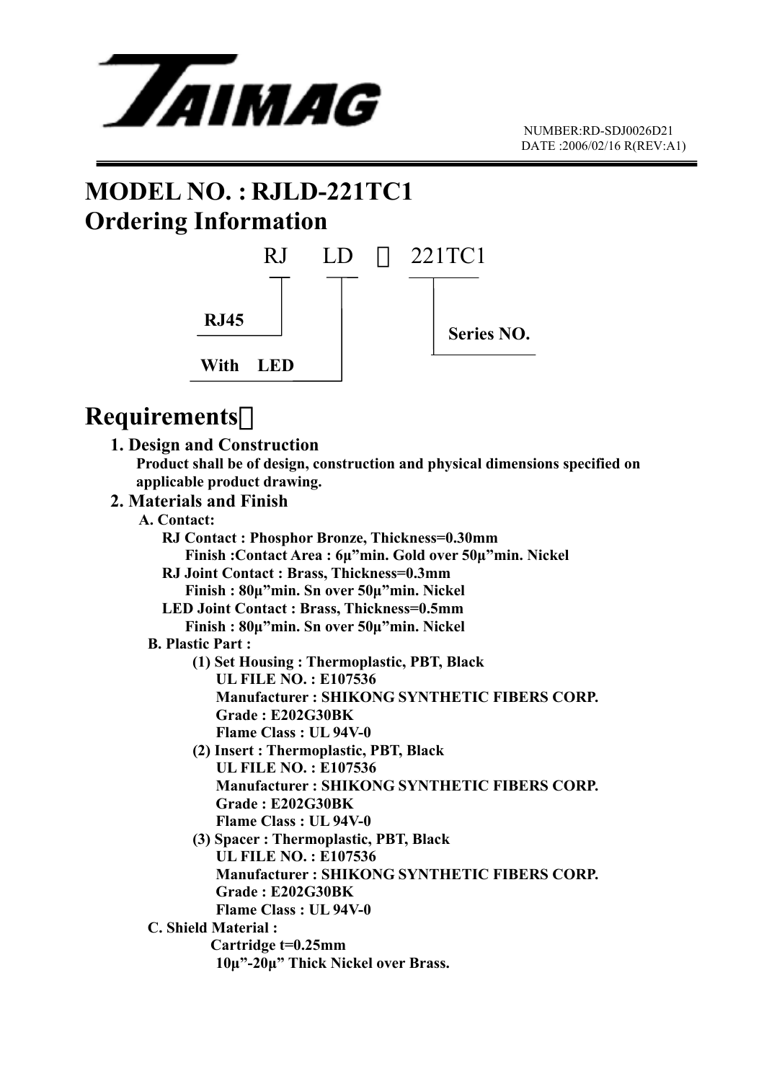

# **MODEL NO. : RJLD-221TC1 Ordering Information**



### **Requirements**:

 **1. Design and Construction Product shall be of design, construction and physical dimensions specified on applicable product drawing.** 

#### **2. Materials and Finish**

- **A. Contact:**
- **RJ Contact : Phosphor Bronze, Thickness=0.30mm Finish :Contact Area : 6µ"min. Gold over 50µ"min. Nickel RJ Joint Contact : Brass, Thickness=0.3mm Finish : 80µ"min. Sn over 50µ"min. Nickel LED Joint Contact : Brass, Thickness=0.5mm Finish : 80µ"min. Sn over 50µ"min. Nickel B. Plastic Part : (1) Set Housing : Thermoplastic, PBT, Black UL FILE NO. : E107536 Manufacturer : SHIKONG SYNTHETIC FIBERS CORP. Grade : E202G30BK Flame Class : UL 94V-0 (2) Insert : Thermoplastic, PBT, Black UL FILE NO. : E107536 Manufacturer : SHIKONG SYNTHETIC FIBERS CORP. Grade : E202G30BK Flame Class : UL 94V-0 (3) Spacer : Thermoplastic, PBT, Black UL FILE NO. : E107536 Manufacturer : SHIKONG SYNTHETIC FIBERS CORP. Grade : E202G30BK Flame Class : UL 94V-0 C. Shield Material : Cartridge t=0.25mm 10µ"-20µ" Thick Nickel over Brass.**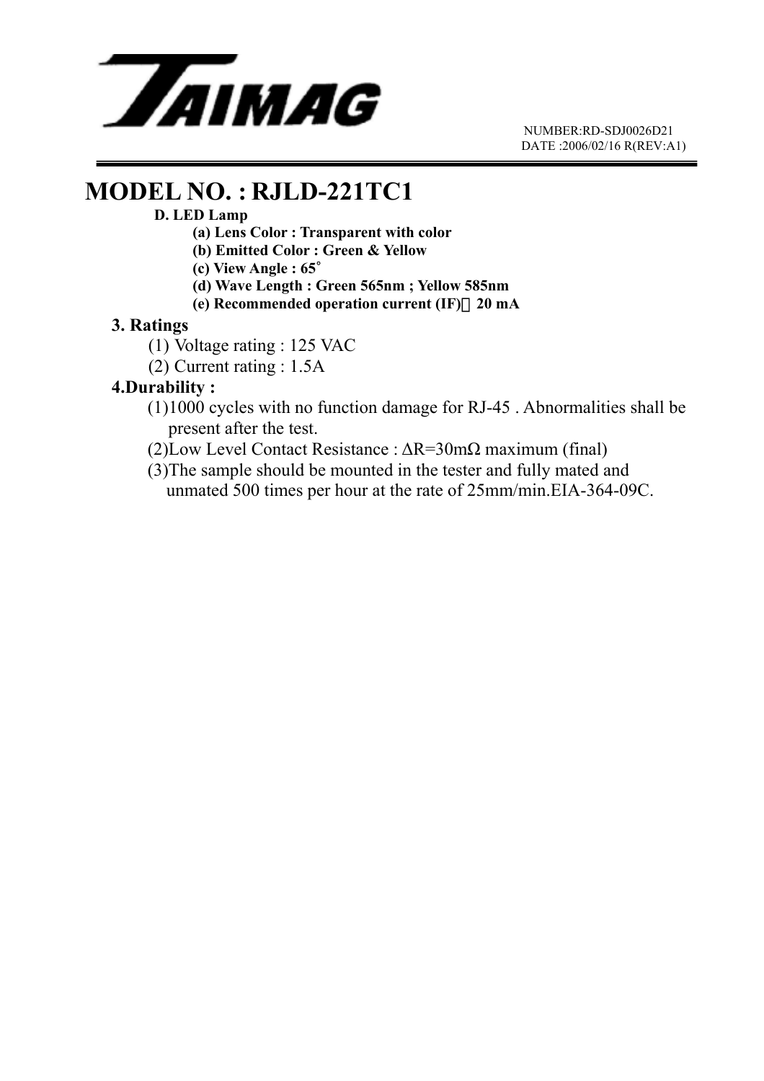

 NUMBER:RD-SDJ0026D21 DATE :2006/02/16 R(REV:A1)

### **MODEL NO. : RJLD-221TC1**

#### **D. LED Lamp**

- **(a) Lens Color : Transparent with color**
- **(b) Emitted Color : Green & Yellow**
- **(c) View Angle : 65**∘
- **(d) Wave Length : Green 565nm ; Yellow 585nm**
- **(e) Recommended operation current (IF)**:**20 mA**

#### **3. Ratings**

- (1) Voltage rating : 125 VAC
- (2) Current rating : 1.5A

#### **4.Durability :**

- (1)1000 cycles with no function damage for RJ-45 . Abnormalities shall be present after the test.
- (2)Low Level Contact Resistance : ∆R=30mΩ maximum (final)
- (3)The sample should be mounted in the tester and fully mated and unmated 500 times per hour at the rate of 25mm/min.EIA-364-09C.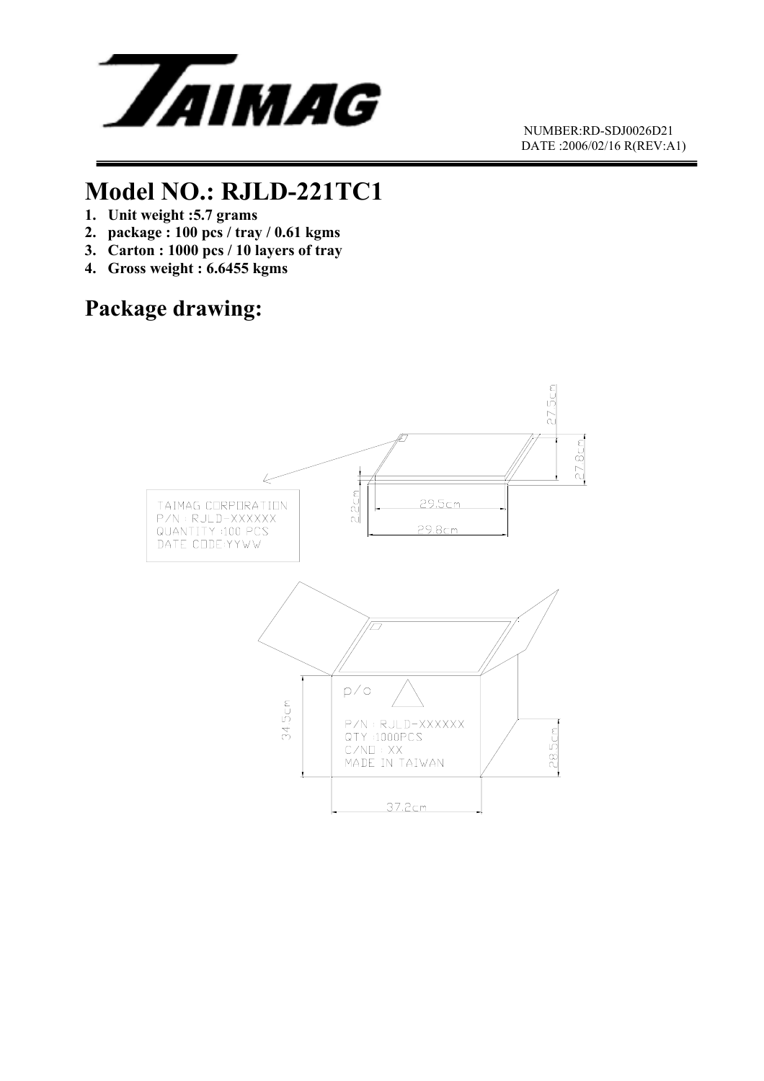

 NUMBER:RD-SDJ0026D21 DATE :2006/02/16 R(REV:A1)

## **Model NO.: RJLD-221TC1**

- **1. Unit weight :5.7 grams**
- **2. package : 100 pcs / tray / 0.61 kgms**
- **3. Carton : 1000 pcs / 10 layers of tray**
- **4. Gross weight : 6.6455 kgms**

### **Package drawing:**